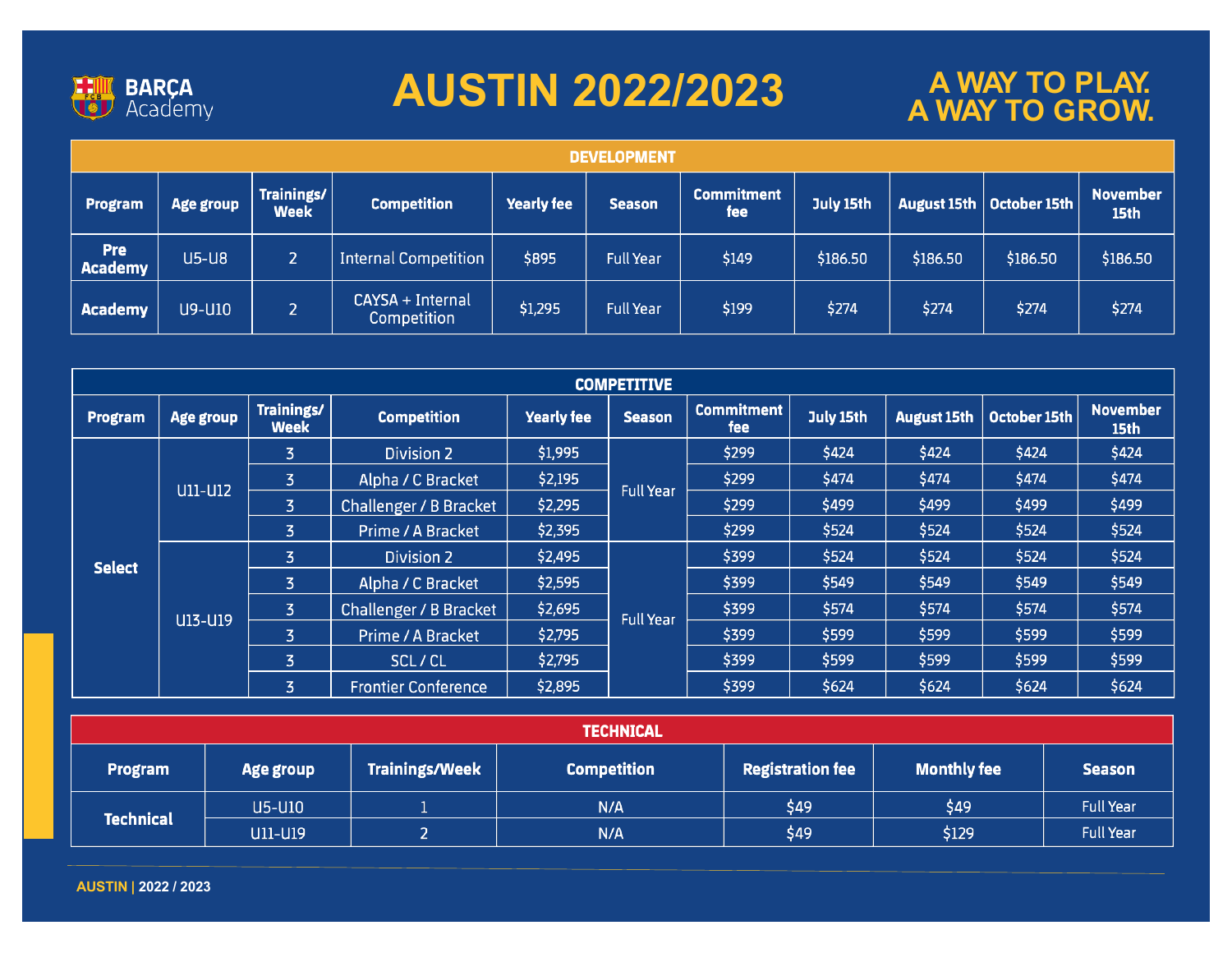

# **<sup>A</sup> WAY TO PLAY. AUSTIN 2022/2023 <sup>A</sup> WAY TO GROW.**

| <b>DEVELOPMENT</b>           |               |                           |                                 |            |                  |                                 |           |             |              |                                     |
|------------------------------|---------------|---------------------------|---------------------------------|------------|------------------|---------------------------------|-----------|-------------|--------------|-------------------------------------|
| Program                      | Age group     | Trainings/<br><b>Week</b> | <b>Competition</b>              | Yearly fee | <b>Season</b>    | <b>Commitment</b><br><b>fee</b> | July 15th | August 15th | October 15th | <b>November</b><br>15 <sub>th</sub> |
| <b>Pre</b><br><b>Academy</b> | $U5-U8$       |                           | <b>Internal Competition</b>     | \$895      | <b>Full Year</b> | \$149                           | \$186.50  | \$186.50    | \$186.50     | \$186.50                            |
| <b>Academy</b>               | <b>U9-U10</b> | C.                        | CAYSA + Internal<br>Competition | \$1,295    | <b>Full Year</b> | \$199                           | \$274     | \$274       | \$274        | \$274                               |

| <b>COMPETITIVE</b> |                |                           |                            |            |                  |                          |           |                    |              |                                     |
|--------------------|----------------|---------------------------|----------------------------|------------|------------------|--------------------------|-----------|--------------------|--------------|-------------------------------------|
| <b>Program</b>     | Age group      | Trainings/<br><b>Week</b> | <b>Competition</b>         | Yearly fee | <b>Season</b>    | <b>Commitment</b><br>fee | July 15th | <b>August 15th</b> | October 15th | <b>November</b><br>15 <sub>th</sub> |
| <b>Select</b>      | <b>U11-U12</b> | $\overline{3}$            | Division 2                 | \$1,995    | <b>Full Year</b> | \$299                    | \$424     | \$424              | \$424        | \$424                               |
|                    |                | $\overline{3}$            | Alpha / C Bracket          | \$2,195    |                  | \$299                    | \$474     | \$474              | \$474        | \$474                               |
|                    |                | $\overline{3}$            | Challenger / B Bracket     | \$2,295    |                  | \$299                    | \$499     | \$499              | \$499        | \$499                               |
|                    |                | $\overline{3}$            | Prime / A Bracket          | \$2,395    |                  | \$299                    | \$524     | \$524              | \$524        | \$524                               |
|                    | U13-U19        | $\overline{3}$            | <b>Division 2</b>          | \$2,495    | <b>Full Year</b> | \$399                    | \$524     | \$524              | \$524        | \$524                               |
|                    |                | 3                         | Alpha / C Bracket          | \$2,595    |                  | \$399                    | \$549     | \$549              | \$549        | \$549                               |
|                    |                | $\overline{3}$            | Challenger / B Bracket     | \$2,695    |                  | \$399                    | \$574     | \$574              | \$574        | \$574                               |
|                    |                | $\overline{3}$            | Prime / A Bracket          | \$2,795    |                  | \$399                    | \$599     | \$599              | \$599        | \$599                               |
|                    |                | $\overline{3}$            | SCL / CL                   | \$2,795    |                  | \$399                    | \$599     | \$599              | \$599        | \$599                               |
|                    |                | $\overline{3}$            | <b>Frontier Conference</b> | \$2,895    |                  | \$399                    | \$624     | \$624              | \$624        | \$624                               |
|                    |                |                           |                            |            |                  |                          |           |                    |              |                                     |

| <b>TECHNICAL</b> |                                                          |  |                         |                    |               |                  |  |  |  |
|------------------|----------------------------------------------------------|--|-------------------------|--------------------|---------------|------------------|--|--|--|
| <b>Program</b>   | <b>Trainings/Week</b><br><b>Competition</b><br>Age group |  | <b>Registration fee</b> | <b>Monthly fee</b> | <b>Season</b> |                  |  |  |  |
| Technical        | <b>U5-U10</b>                                            |  | N/A                     | \$49               | \$49          | <b>Full Year</b> |  |  |  |
|                  | <b>U11-U19</b>                                           |  | N/A                     | \$49               | \$129         | <b>Full Year</b> |  |  |  |